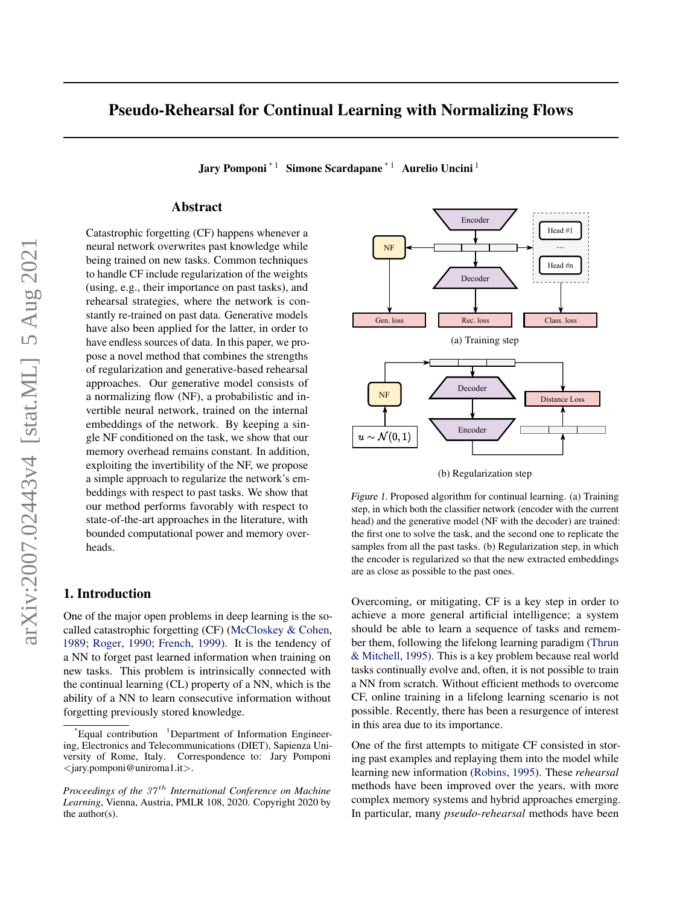# <span id="page-0-0"></span>Pseudo-Rehearsal for Continual Learning with Normalizing Flows

Jary Pomponi<sup>\* 1</sup> Simone Scardapane<sup>\* 1</sup> Aurelio Uncini<sup>1</sup>

### Abstract

Catastrophic forgetting (CF) happens whenever a neural network overwrites past knowledge while being trained on new tasks. Common techniques to handle CF include regularization of the weights (using, e.g., their importance on past tasks), and rehearsal strategies, where the network is constantly re-trained on past data. Generative models have also been applied for the latter, in order to have endless sources of data. In this paper, we propose a novel method that combines the strengths of regularization and generative-based rehearsal approaches. Our generative model consists of a normalizing flow (NF), a probabilistic and invertible neural network, trained on the internal embeddings of the network. By keeping a single NF conditioned on the task, we show that our memory overhead remains constant. In addition, exploiting the invertibility of the NF, we propose a simple approach to regularize the network's embeddings with respect to past tasks. We show that our method performs favorably with respect to state-of-the-art approaches in the literature, with bounded computational power and memory overheads.

## 1. Introduction

One of the major open problems in deep learning is the socalled catastrophic forgetting (CF) [\(McCloskey & Cohen,](#page-8-0) [1989;](#page-8-0) [Roger,](#page-8-0) [1990;](#page-8-0) [French,](#page-7-0) [1999\)](#page-7-0). It is the tendency of a NN to forget past learned information when training on new tasks. This problem is intrinsically connected with the continual learning (CL) property of a NN, which is the ability of a NN to learn consecutive information without forgetting previously stored knowledge.



(b) Regularization step

Figure 1. Proposed algorithm for continual learning. (a) Training step, in which both the classifier network (encoder with the current head) and the generative model (NF with the decoder) are trained: the first one to solve the task, and the second one to replicate the samples from all the past tasks. (b) Regularization step, in which the encoder is regularized so that the new extracted embeddings are as close as possible to the past ones.

Overcoming, or mitigating, CF is a key step in order to achieve a more general artificial intelligence; a system should be able to learn a sequence of tasks and remember them, following the lifelong learning paradigm [\(Thrun](#page-8-0) [& Mitchell,](#page-8-0) [1995\)](#page-8-0). This is a key problem because real world tasks continually evolve and, often, it is not possible to train a NN from scratch. Without efficient methods to overcome CF, online training in a lifelong learning scenario is not possible. Recently, there has been a resurgence of interest in this area due to its importance.

One of the first attempts to mitigate CF consisted in storing past examples and replaying them into the model while learning new information [\(Robins,](#page-8-0) [1995\)](#page-8-0). These *rehearsal* methods have been improved over the years, with more complex memory systems and hybrid approaches emerging. In particular, many *pseudo-rehearsal* methods have been

 $^{\dagger}$ Equal contribution  $^{\dagger}$ Department of Information Engineering, Electronics and Telecommunications (DIET), Sapienza University of Rome, Italy. Correspondence to: Jary Pomponi <jary.pomponi@uniroma1.it>.

*Proceedings of the 37<sup>th</sup> International Conference on Machine Learning*, Vienna, Austria, PMLR 108, 2020. Copyright 2020 by the author(s).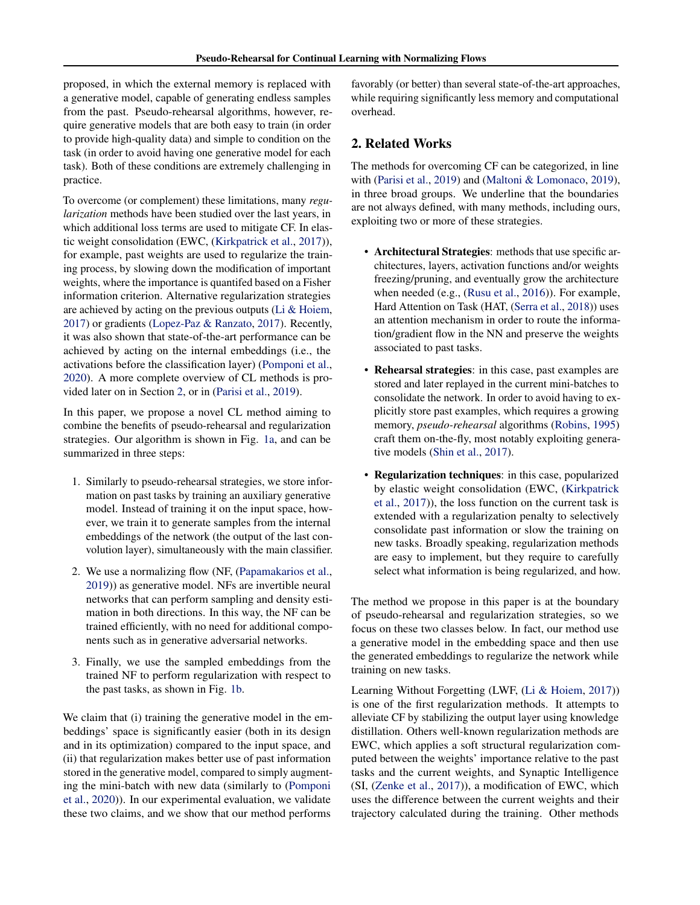proposed, in which the external memory is replaced with a generative model, capable of generating endless samples from the past. Pseudo-rehearsal algorithms, however, require generative models that are both easy to train (in order to provide high-quality data) and simple to condition on the task (in order to avoid having one generative model for each task). Both of these conditions are extremely challenging in practice.

To overcome (or complement) these limitations, many *regularization* methods have been studied over the last years, in which additional loss terms are used to mitigate CF. In elastic weight consolidation (EWC, [\(Kirkpatrick et al.,](#page-8-0) [2017\)](#page-8-0)), for example, past weights are used to regularize the training process, by slowing down the modification of important weights, where the importance is quantifed based on a Fisher information criterion. Alternative regularization strategies are achieved by acting on the previous outputs [\(Li & Hoiem,](#page-8-0) [2017\)](#page-8-0) or gradients [\(Lopez-Paz & Ranzato,](#page-8-0) [2017\)](#page-8-0). Recently, it was also shown that state-of-the-art performance can be achieved by acting on the internal embeddings (i.e., the activations before the classification layer) [\(Pomponi et al.,](#page-8-0) [2020\)](#page-8-0). A more complete overview of CL methods is provided later on in Section 2, or in [\(Parisi et al.,](#page-8-0) [2019\)](#page-8-0).

In this paper, we propose a novel CL method aiming to combine the benefits of pseudo-rehearsal and regularization strategies. Our algorithm is shown in Fig. [1a,](#page-0-0) and can be summarized in three steps:

- 1. Similarly to pseudo-rehearsal strategies, we store information on past tasks by training an auxiliary generative model. Instead of training it on the input space, however, we train it to generate samples from the internal embeddings of the network (the output of the last convolution layer), simultaneously with the main classifier.
- 2. We use a normalizing flow (NF, [\(Papamakarios et al.,](#page-8-0) [2019\)](#page-8-0)) as generative model. NFs are invertible neural networks that can perform sampling and density estimation in both directions. In this way, the NF can be trained efficiently, with no need for additional components such as in generative adversarial networks.
- 3. Finally, we use the sampled embeddings from the trained NF to perform regularization with respect to the past tasks, as shown in Fig. [1b.](#page-0-0)

We claim that (i) training the generative model in the embeddings' space is significantly easier (both in its design and in its optimization) compared to the input space, and (ii) that regularization makes better use of past information stored in the generative model, compared to simply augmenting the mini-batch with new data (similarly to [\(Pomponi](#page-8-0) [et al.,](#page-8-0) [2020\)](#page-8-0)). In our experimental evaluation, we validate these two claims, and we show that our method performs

favorably (or better) than several state-of-the-art approaches, while requiring significantly less memory and computational overhead.

# 2. Related Works

The methods for overcoming CF can be categorized, in line with [\(Parisi et al.,](#page-8-0) [2019\)](#page-8-0) and [\(Maltoni & Lomonaco,](#page-8-0) [2019\)](#page-8-0), in three broad groups. We underline that the boundaries are not always defined, with many methods, including ours, exploiting two or more of these strategies.

- Architectural Strategies: methods that use specific architectures, layers, activation functions and/or weights freezing/pruning, and eventually grow the architecture when needed (e.g., [\(Rusu et al.,](#page-8-0) [2016\)](#page-8-0)). For example, Hard Attention on Task (HAT, [\(Serra et al.,](#page-8-0) [2018\)](#page-8-0)) uses an attention mechanism in order to route the information/gradient flow in the NN and preserve the weights associated to past tasks.
- Rehearsal strategies: in this case, past examples are stored and later replayed in the current mini-batches to consolidate the network. In order to avoid having to explicitly store past examples, which requires a growing memory, *pseudo-rehearsal* algorithms [\(Robins,](#page-8-0) [1995\)](#page-8-0) craft them on-the-fly, most notably exploiting generative models [\(Shin et al.,](#page-8-0) [2017\)](#page-8-0).
- Regularization techniques: in this case, popularized by elastic weight consolidation (EWC, [\(Kirkpatrick](#page-8-0) [et al.,](#page-8-0) [2017\)](#page-8-0)), the loss function on the current task is extended with a regularization penalty to selectively consolidate past information or slow the training on new tasks. Broadly speaking, regularization methods are easy to implement, but they require to carefully select what information is being regularized, and how.

The method we propose in this paper is at the boundary of pseudo-rehearsal and regularization strategies, so we focus on these two classes below. In fact, our method use a generative model in the embedding space and then use the generated embeddings to regularize the network while training on new tasks.

Learning Without Forgetting (LWF, [\(Li & Hoiem,](#page-8-0) [2017\)](#page-8-0)) is one of the first regularization methods. It attempts to alleviate CF by stabilizing the output layer using knowledge distillation. Others well-known regularization methods are EWC, which applies a soft structural regularization computed between the weights' importance relative to the past tasks and the current weights, and Synaptic Intelligence (SI, [\(Zenke et al.,](#page-8-0) [2017\)](#page-8-0)), a modification of EWC, which uses the difference between the current weights and their trajectory calculated during the training. Other methods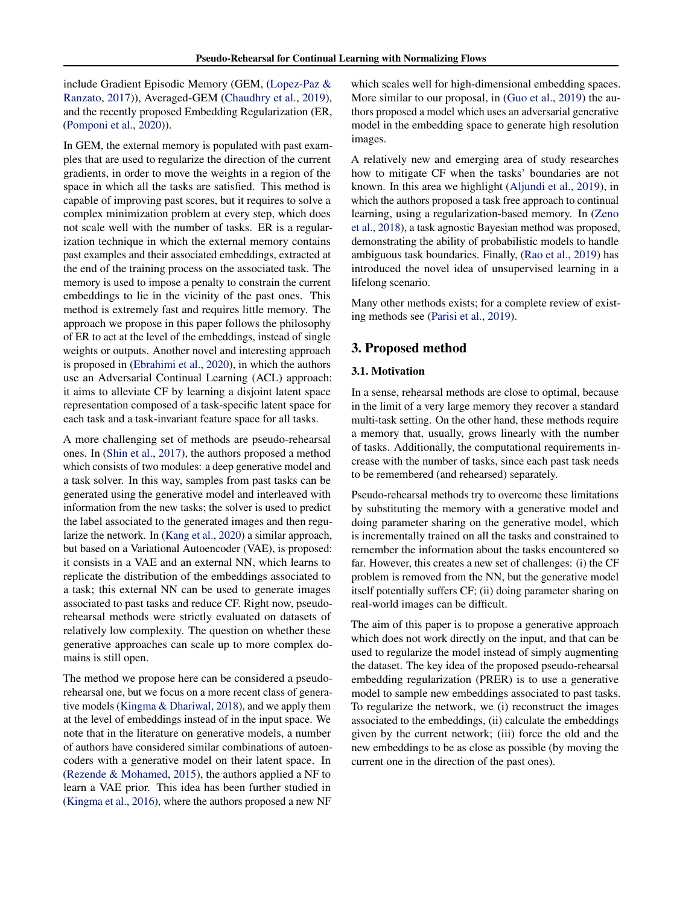include Gradient Episodic Memory (GEM, [\(Lopez-Paz &](#page-8-0) [Ranzato,](#page-8-0) [2017\)](#page-8-0)), Averaged-GEM [\(Chaudhry et al.,](#page-7-0) [2019\)](#page-7-0), and the recently proposed Embedding Regularization (ER, [\(Pomponi et al.,](#page-8-0) [2020\)](#page-8-0)).

In GEM, the external memory is populated with past examples that are used to regularize the direction of the current gradients, in order to move the weights in a region of the space in which all the tasks are satisfied. This method is capable of improving past scores, but it requires to solve a complex minimization problem at every step, which does not scale well with the number of tasks. ER is a regularization technique in which the external memory contains past examples and their associated embeddings, extracted at the end of the training process on the associated task. The memory is used to impose a penalty to constrain the current embeddings to lie in the vicinity of the past ones. This method is extremely fast and requires little memory. The approach we propose in this paper follows the philosophy of ER to act at the level of the embeddings, instead of single weights or outputs. Another novel and interesting approach is proposed in [\(Ebrahimi et al.,](#page-7-0) [2020\)](#page-7-0), in which the authors use an Adversarial Continual Learning (ACL) approach: it aims to alleviate CF by learning a disjoint latent space representation composed of a task-specific latent space for each task and a task-invariant feature space for all tasks.

A more challenging set of methods are pseudo-rehearsal ones. In [\(Shin et al.,](#page-8-0) [2017\)](#page-8-0), the authors proposed a method which consists of two modules: a deep generative model and a task solver. In this way, samples from past tasks can be generated using the generative model and interleaved with information from the new tasks; the solver is used to predict the label associated to the generated images and then regularize the network. In [\(Kang et al.,](#page-7-0) [2020\)](#page-7-0) a similar approach, but based on a Variational Autoencoder (VAE), is proposed: it consists in a VAE and an external NN, which learns to replicate the distribution of the embeddings associated to a task; this external NN can be used to generate images associated to past tasks and reduce CF. Right now, pseudorehearsal methods were strictly evaluated on datasets of relatively low complexity. The question on whether these generative approaches can scale up to more complex domains is still open.

The method we propose here can be considered a pseudorehearsal one, but we focus on a more recent class of generative models [\(Kingma & Dhariwal,](#page-7-0) [2018\)](#page-7-0), and we apply them at the level of embeddings instead of in the input space. We note that in the literature on generative models, a number of authors have considered similar combinations of autoencoders with a generative model on their latent space. In [\(Rezende & Mohamed,](#page-8-0) [2015\)](#page-8-0), the authors applied a NF to learn a VAE prior. This idea has been further studied in [\(Kingma et al.,](#page-7-0) [2016\)](#page-7-0), where the authors proposed a new NF which scales well for high-dimensional embedding spaces. More similar to our proposal, in [\(Guo et al.,](#page-7-0) [2019\)](#page-7-0) the authors proposed a model which uses an adversarial generative model in the embedding space to generate high resolution images.

A relatively new and emerging area of study researches how to mitigate CF when the tasks' boundaries are not known. In this area we highlight [\(Aljundi et al.,](#page-7-0) [2019\)](#page-7-0), in which the authors proposed a task free approach to continual learning, using a regularization-based memory. In [\(Zeno](#page-8-0) [et al.,](#page-8-0) [2018\)](#page-8-0), a task agnostic Bayesian method was proposed, demonstrating the ability of probabilistic models to handle ambiguous task boundaries. Finally, [\(Rao et al.,](#page-8-0) [2019\)](#page-8-0) has introduced the novel idea of unsupervised learning in a lifelong scenario.

Many other methods exists; for a complete review of existing methods see [\(Parisi et al.,](#page-8-0) [2019\)](#page-8-0).

## 3. Proposed method

#### 3.1. Motivation

In a sense, rehearsal methods are close to optimal, because in the limit of a very large memory they recover a standard multi-task setting. On the other hand, these methods require a memory that, usually, grows linearly with the number of tasks. Additionally, the computational requirements increase with the number of tasks, since each past task needs to be remembered (and rehearsed) separately.

Pseudo-rehearsal methods try to overcome these limitations by substituting the memory with a generative model and doing parameter sharing on the generative model, which is incrementally trained on all the tasks and constrained to remember the information about the tasks encountered so far. However, this creates a new set of challenges: (i) the CF problem is removed from the NN, but the generative model itself potentially suffers CF; (ii) doing parameter sharing on real-world images can be difficult.

The aim of this paper is to propose a generative approach which does not work directly on the input, and that can be used to regularize the model instead of simply augmenting the dataset. The key idea of the proposed pseudo-rehearsal embedding regularization (PRER) is to use a generative model to sample new embeddings associated to past tasks. To regularize the network, we (i) reconstruct the images associated to the embeddings, (ii) calculate the embeddings given by the current network; (iii) force the old and the new embeddings to be as close as possible (by moving the current one in the direction of the past ones).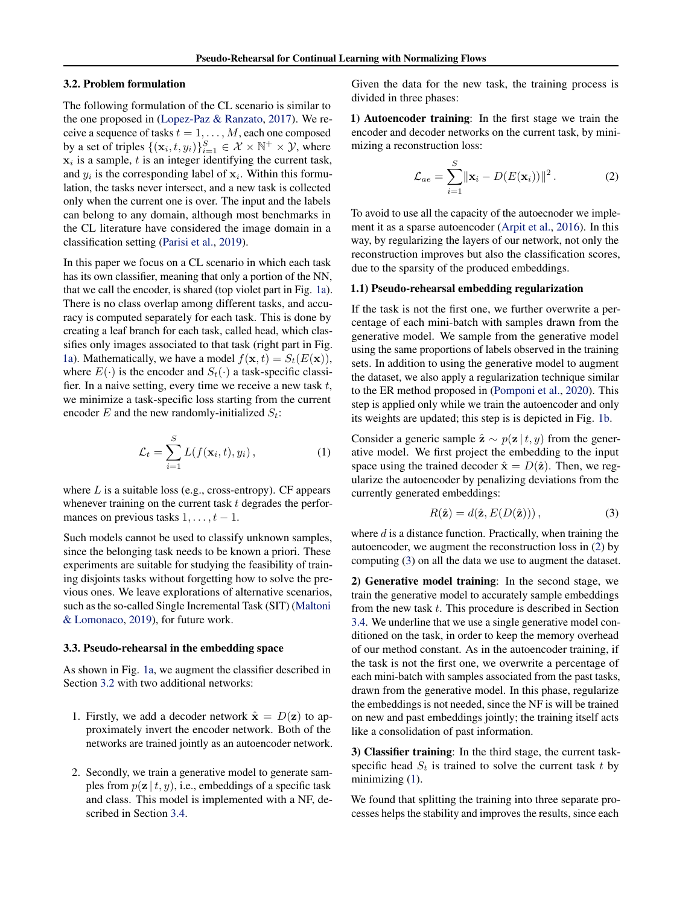#### 3.2. Problem formulation

The following formulation of the CL scenario is similar to the one proposed in [\(Lopez-Paz & Ranzato,](#page-8-0) [2017\)](#page-8-0). We receive a sequence of tasks  $t = 1, \ldots, M$ , each one composed by a set of triples  $\{(\mathbf{x}_i, t, y_i)\}_{i=1}^S \in \mathcal{X} \times \mathbb{N}^+ \times \mathcal{Y}$ , where  $x_i$  is a sample, t is an integer identifying the current task, and  $y_i$  is the corresponding label of  $x_i$ . Within this formulation, the tasks never intersect, and a new task is collected only when the current one is over. The input and the labels can belong to any domain, although most benchmarks in the CL literature have considered the image domain in a classification setting [\(Parisi et al.,](#page-8-0) [2019\)](#page-8-0).

In this paper we focus on a CL scenario in which each task has its own classifier, meaning that only a portion of the NN, that we call the encoder, is shared (top violet part in Fig. [1a\)](#page-0-0). There is no class overlap among different tasks, and accuracy is computed separately for each task. This is done by creating a leaf branch for each task, called head, which classifies only images associated to that task (right part in Fig. [1a\)](#page-0-0). Mathematically, we have a model  $f(\mathbf{x}, t) = S_t(E(\mathbf{x})),$ where  $E(\cdot)$  is the encoder and  $S_t(\cdot)$  a task-specific classifier. In a naive setting, every time we receive a new task  $t$ , we minimize a task-specific loss starting from the current encoder E and the new randomly-initialized  $S_t$ :

$$
\mathcal{L}_t = \sum_{i=1}^S L(f(\mathbf{x}_i, t), y_i), \qquad (1)
$$

where  $L$  is a suitable loss (e.g., cross-entropy). CF appears whenever training on the current task  $t$  degrades the performances on previous tasks  $1, \ldots, t - 1$ .

Such models cannot be used to classify unknown samples, since the belonging task needs to be known a priori. These experiments are suitable for studying the feasibility of training disjoints tasks without forgetting how to solve the previous ones. We leave explorations of alternative scenarios, such as the so-called Single Incremental Task (SIT) [\(Maltoni](#page-8-0) [& Lomonaco,](#page-8-0) [2019\)](#page-8-0), for future work.

#### 3.3. Pseudo-rehearsal in the embedding space

As shown in Fig. [1a,](#page-0-0) we augment the classifier described in Section 3.2 with two additional networks:

- 1. Firstly, we add a decoder network  $\hat{\mathbf{x}} = D(\mathbf{z})$  to approximately invert the encoder network. Both of the networks are trained jointly as an autoencoder network.
- 2. Secondly, we train a generative model to generate samples from  $p(\mathbf{z} | t, y)$ , i.e., embeddings of a specific task and class. This model is implemented with a NF, described in Section [3.4.](#page-4-0)

Given the data for the new task, the training process is divided in three phases:

1) Autoencoder training: In the first stage we train the encoder and decoder networks on the current task, by minimizing a reconstruction loss:

$$
\mathcal{L}_{ae} = \sum_{i=1}^{S} ||\mathbf{x}_i - D(E(\mathbf{x}_i))||^2.
$$
 (2)

To avoid to use all the capacity of the autoecnoder we implement it as a sparse autoencoder [\(Arpit et al.,](#page-7-0) [2016\)](#page-7-0). In this way, by regularizing the layers of our network, not only the reconstruction improves but also the classification scores, due to the sparsity of the produced embeddings.

#### 1.1) Pseudo-rehearsal embedding regularization

If the task is not the first one, we further overwrite a percentage of each mini-batch with samples drawn from the generative model. We sample from the generative model using the same proportions of labels observed in the training sets. In addition to using the generative model to augment the dataset, we also apply a regularization technique similar to the ER method proposed in [\(Pomponi et al.,](#page-8-0) [2020\)](#page-8-0). This step is applied only while we train the autoencoder and only its weights are updated; this step is is depicted in Fig. [1b.](#page-0-0)

Consider a generic sample  $\hat{\mathbf{z}} \sim p(\mathbf{z} | t, y)$  from the generative model. We first project the embedding to the input space using the trained decoder  $\hat{\mathbf{x}} = D(\hat{\mathbf{z}})$ . Then, we regularize the autoencoder by penalizing deviations from the currently generated embeddings:

$$
R(\hat{\mathbf{z}}) = d(\hat{\mathbf{z}}, E(D(\hat{\mathbf{z}}))),\tag{3}
$$

where  $d$  is a distance function. Practically, when training the autoencoder, we augment the reconstruction loss in (2) by computing (3) on all the data we use to augment the dataset.

2) Generative model training: In the second stage, we train the generative model to accurately sample embeddings from the new task  $t$ . This procedure is described in Section [3.4.](#page-4-0) We underline that we use a single generative model conditioned on the task, in order to keep the memory overhead of our method constant. As in the autoencoder training, if the task is not the first one, we overwrite a percentage of each mini-batch with samples associated from the past tasks, drawn from the generative model. In this phase, regularize the embeddings is not needed, since the NF is will be trained on new and past embeddings jointly; the training itself acts like a consolidation of past information.

3) Classifier training: In the third stage, the current taskspecific head  $S_t$  is trained to solve the current task t by minimizing  $(1)$ .

We found that splitting the training into three separate processes helps the stability and improves the results, since each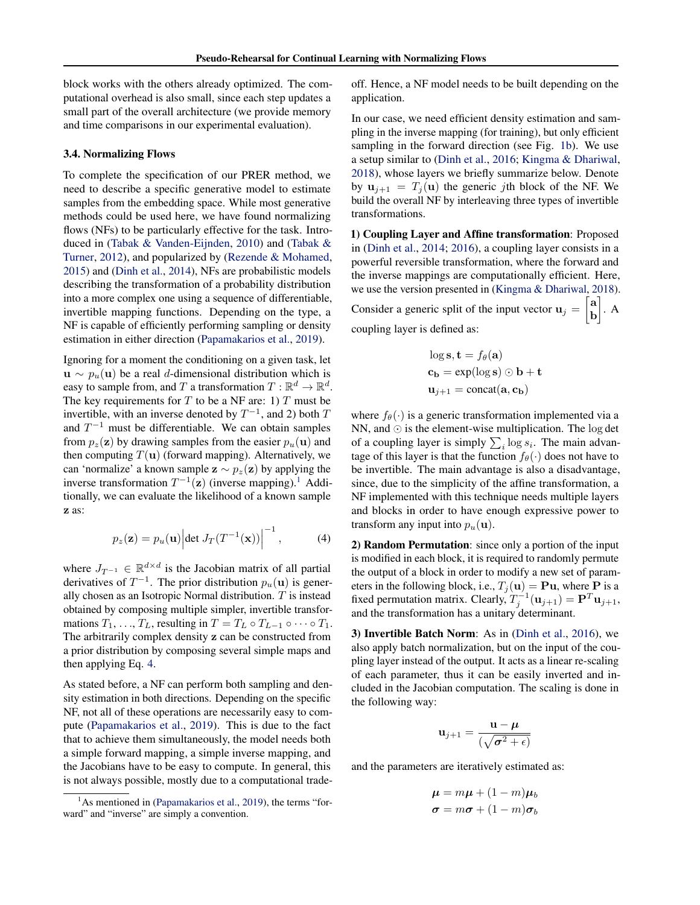<span id="page-4-0"></span>block works with the others already optimized. The computational overhead is also small, since each step updates a small part of the overall architecture (we provide memory and time comparisons in our experimental evaluation).

#### 3.4. Normalizing Flows

To complete the specification of our PRER method, we need to describe a specific generative model to estimate samples from the embedding space. While most generative methods could be used here, we have found normalizing flows (NFs) to be particularly effective for the task. Introduced in [\(Tabak & Vanden-Eijnden,](#page-8-0) [2010\)](#page-8-0) and [\(Tabak &](#page-8-0) [Turner,](#page-8-0) [2012\)](#page-8-0), and popularized by [\(Rezende & Mohamed,](#page-8-0) [2015\)](#page-8-0) and [\(Dinh et al.,](#page-7-0) [2014\)](#page-7-0), NFs are probabilistic models describing the transformation of a probability distribution into a more complex one using a sequence of differentiable, invertible mapping functions. Depending on the type, a NF is capable of efficiently performing sampling or density estimation in either direction [\(Papamakarios et al.,](#page-8-0) [2019\)](#page-8-0).

Ignoring for a moment the conditioning on a given task, let  $u \sim p_u(u)$  be a real d-dimensional distribution which is easy to sample from, and T a transformation  $T : \mathbb{R}^d \to \mathbb{R}^d$ . The key requirements for  $T$  to be a NF are: 1)  $T$  must be invertible, with an inverse denoted by  $T^{-1}$ , and 2) both T and  $T^{-1}$  must be differentiable. We can obtain samples from  $p_z(\mathbf{z})$  by drawing samples from the easier  $p_u(\mathbf{u})$  and then computing  $T(\mathbf{u})$  (forward mapping). Alternatively, we can 'normalize' a known sample  $z \sim p_z(z)$  by applying the inverse transformation  $T^{-1}(\mathbf{z})$  (inverse mapping).<sup>1</sup> Additionally, we can evaluate the likelihood of a known sample z as:

$$
p_z(\mathbf{z}) = p_u(\mathbf{u}) \left| \det J_T(T^{-1}(\mathbf{x})) \right|^{-1}, \tag{4}
$$

where  $J_{T^{-1}} \in \mathbb{R}^{d \times d}$  is the Jacobian matrix of all partial derivatives of  $T^{-1}$ . The prior distribution  $p_u(\mathbf{u})$  is generally chosen as an Isotropic Normal distribution.  $T$  is instead obtained by composing multiple simpler, invertible transformations  $T_1, \ldots, T_L$ , resulting in  $T = T_L \circ T_{L-1} \circ \cdots \circ T_1$ . The arbitrarily complex density z can be constructed from a prior distribution by composing several simple maps and then applying Eq. 4.

As stated before, a NF can perform both sampling and density estimation in both directions. Depending on the specific NF, not all of these operations are necessarily easy to compute [\(Papamakarios et al.,](#page-8-0) [2019\)](#page-8-0). This is due to the fact that to achieve them simultaneously, the model needs both a simple forward mapping, a simple inverse mapping, and the Jacobians have to be easy to compute. In general, this is not always possible, mostly due to a computational tradeoff. Hence, a NF model needs to be built depending on the application.

In our case, we need efficient density estimation and sampling in the inverse mapping (for training), but only efficient sampling in the forward direction (see Fig. [1b\)](#page-0-0). We use a setup similar to [\(Dinh et al.,](#page-7-0) [2016;](#page-7-0) [Kingma & Dhariwal,](#page-7-0) [2018\)](#page-7-0), whose layers we briefly summarize below. Denote by  $u_{j+1} = T_j(u)$  the generic *j*th block of the NF. We build the overall NF by interleaving three types of invertible transformations.

1) Coupling Layer and Affine transformation: Proposed in [\(Dinh et al.,](#page-7-0) [2014;](#page-7-0) [2016\)](#page-7-0), a coupling layer consists in a powerful reversible transformation, where the forward and the inverse mappings are computationally efficient. Here, we use the version presented in [\(Kingma & Dhariwal,](#page-7-0) [2018\)](#page-7-0). Consider a generic split of the input vector  $\mathbf{u}_j = \begin{bmatrix} \mathbf{a} \\ \mathbf{b} \end{bmatrix}$ b  $\bigg). A$ 

coupling layer is defined as:

$$
\log \mathbf{s}, \mathbf{t} = f_{\theta}(\mathbf{a})
$$
  

$$
\mathbf{c}_{\mathbf{b}} = \exp(\log \mathbf{s}) \odot \mathbf{b} + \mathbf{t}
$$
  

$$
\mathbf{u}_{j+1} = \text{concat}(\mathbf{a}, \mathbf{c}_{\mathbf{b}})
$$

where  $f_{\theta}(\cdot)$  is a generic transformation implemented via a NN, and  $\odot$  is the element-wise multiplication. The log det of a coupling layer is simply  $\sum_i \log s_i$ . The main advantage of this layer is that the function  $f_{\theta}(\cdot)$  does not have to be invertible. The main advantage is also a disadvantage, since, due to the simplicity of the affine transformation, a NF implemented with this technique needs multiple layers and blocks in order to have enough expressive power to transform any input into  $p_u(\mathbf{u})$ .

2) Random Permutation: since only a portion of the input is modified in each block, it is required to randomly permute the output of a block in order to modify a new set of parameters in the following block, i.e.,  $T_j(\mathbf{u}) = \mathbf{P}\mathbf{u}$ , where  $\mathbf P$  is a fixed permutation matrix. Clearly,  $T_j^{-1}(\mathbf{u}_{j+1}) = \mathbf{P}^T \mathbf{u}_{j+1}$ , and the transformation has a unitary determinant.

3) Invertible Batch Norm: As in [\(Dinh et al.,](#page-7-0) [2016\)](#page-7-0), we also apply batch normalization, but on the input of the coupling layer instead of the output. It acts as a linear re-scaling of each parameter, thus it can be easily inverted and included in the Jacobian computation. The scaling is done in the following way:

$$
\mathbf{u}_{j+1} = \frac{\mathbf{u} - \boldsymbol{\mu}}{(\sqrt{\boldsymbol{\sigma}^2 + \epsilon})}
$$

and the parameters are iteratively estimated as:

$$
\boldsymbol{\mu} = m\boldsymbol{\mu} + (1-m)\boldsymbol{\mu}_b
$$

$$
\boldsymbol{\sigma} = m\boldsymbol{\sigma} + (1-m)\boldsymbol{\sigma}_b
$$

 $<sup>1</sup>$ As mentioned in [\(Papamakarios et al.,](#page-8-0) [2019\)](#page-8-0), the terms "for-</sup> ward" and "inverse" are simply a convention.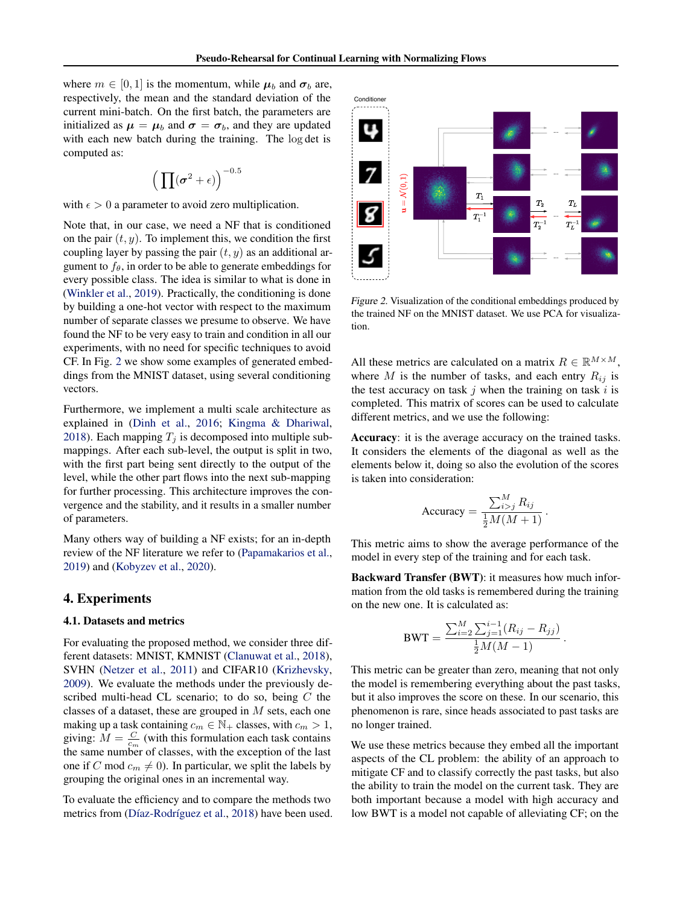where  $m \in [0, 1]$  is the momentum, while  $\mu_b$  and  $\sigma_b$  are, respectively, the mean and the standard deviation of the current mini-batch. On the first batch, the parameters are initialized as  $\mu = \mu_b$  and  $\sigma = \sigma_b$ , and they are updated with each new batch during the training. The log det is computed as:

$$
\Big(\prod (\sigma^2+\epsilon)\Big)^{-0.5}
$$

with  $\epsilon > 0$  a parameter to avoid zero multiplication.

Note that, in our case, we need a NF that is conditioned on the pair  $(t, y)$ . To implement this, we condition the first coupling layer by passing the pair  $(t, y)$  as an additional argument to  $f_\theta$ , in order to be able to generate embeddings for every possible class. The idea is similar to what is done in [\(Winkler et al.,](#page-8-0) [2019\)](#page-8-0). Practically, the conditioning is done by building a one-hot vector with respect to the maximum number of separate classes we presume to observe. We have found the NF to be very easy to train and condition in all our experiments, with no need for specific techniques to avoid CF. In Fig. 2 we show some examples of generated embeddings from the MNIST dataset, using several conditioning vectors.

Furthermore, we implement a multi scale architecture as explained in [\(Dinh et al.,](#page-7-0) [2016;](#page-7-0) [Kingma & Dhariwal,](#page-7-0) [2018\)](#page-7-0). Each mapping  $T_i$  is decomposed into multiple submappings. After each sub-level, the output is split in two, with the first part being sent directly to the output of the level, while the other part flows into the next sub-mapping for further processing. This architecture improves the convergence and the stability, and it results in a smaller number of parameters.

Many others way of building a NF exists; for an in-depth review of the NF literature we refer to [\(Papamakarios et al.,](#page-8-0) [2019\)](#page-8-0) and [\(Kobyzev et al.,](#page-8-0) [2020\)](#page-8-0).

#### 4. Experiments

#### 4.1. Datasets and metrics

For evaluating the proposed method, we consider three different datasets: MNIST, KMNIST [\(Clanuwat et al.,](#page-7-0) [2018\)](#page-7-0), SVHN [\(Netzer et al.,](#page-8-0) [2011\)](#page-8-0) and CIFAR10 [\(Krizhevsky,](#page-8-0) [2009\)](#page-8-0). We evaluate the methods under the previously described multi-head CL scenario; to do so, being C the classes of a dataset, these are grouped in  $M$  sets, each one making up a task containing  $c_m \in \mathbb{N}_+$  classes, with  $c_m > 1$ , giving:  $M = \frac{C}{c_m}$  (with this formulation each task contains the same number of classes, with the exception of the last one if C mod  $c_m \neq 0$ ). In particular, we split the labels by grouping the original ones in an incremental way.

To evaluate the efficiency and to compare the methods two metrics from (Díaz-Rodríguez et al., [2018\)](#page-7-0) have been used.



Figure 2. Visualization of the conditional embeddings produced by the trained NF on the MNIST dataset. We use PCA for visualization.

All these metrics are calculated on a matrix  $R \in \mathbb{R}^{M \times M}$ , where M is the number of tasks, and each entry  $R_{ij}$  is the test accuracy on task  $j$  when the training on task  $i$  is completed. This matrix of scores can be used to calculate different metrics, and we use the following:

Accuracy: it is the average accuracy on the trained tasks. It considers the elements of the diagonal as well as the elements below it, doing so also the evolution of the scores is taken into consideration:

$$
Accuracy = \frac{\sum_{i>j}^{M} R_{ij}}{\frac{1}{2}M(M+1)}.
$$

This metric aims to show the average performance of the model in every step of the training and for each task.

Backward Transfer (BWT): it measures how much information from the old tasks is remembered during the training on the new one. It is calculated as:

$$
BWT = \frac{\sum_{i=2}^{M} \sum_{j=1}^{i-1} (R_{ij} - R_{jj})}{\frac{1}{2}M(M-1)}.
$$

This metric can be greater than zero, meaning that not only the model is remembering everything about the past tasks, but it also improves the score on these. In our scenario, this phenomenon is rare, since heads associated to past tasks are no longer trained.

We use these metrics because they embed all the important aspects of the CL problem: the ability of an approach to mitigate CF and to classify correctly the past tasks, but also the ability to train the model on the current task. They are both important because a model with high accuracy and low BWT is a model not capable of alleviating CF; on the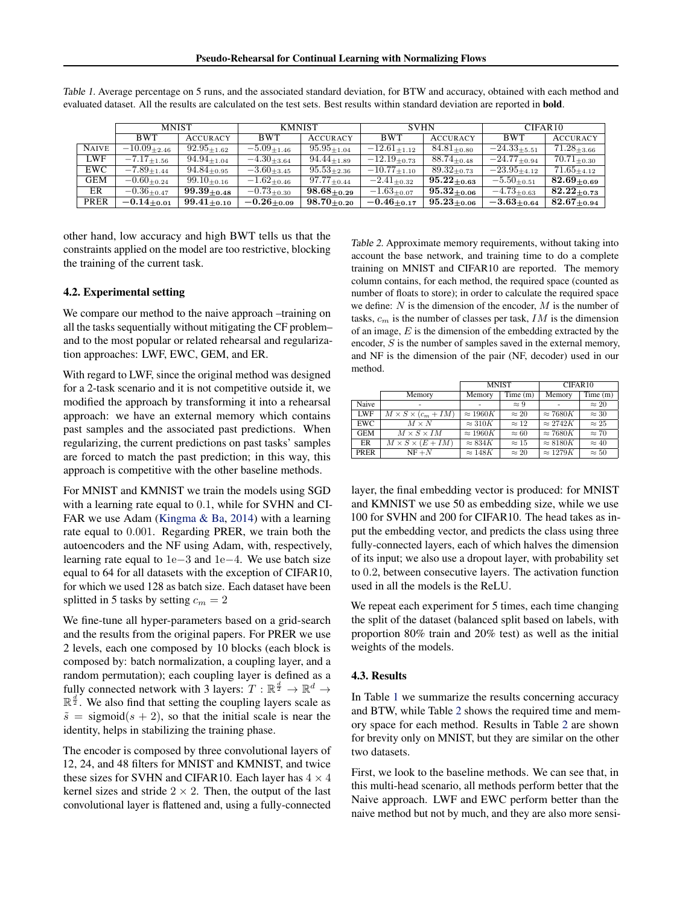|              | <b>MNIST</b>       |                    | <b>KMNIST</b>      |                    | <b>SVHN</b>         |                    | CIFAR10             |                    |
|--------------|--------------------|--------------------|--------------------|--------------------|---------------------|--------------------|---------------------|--------------------|
|              | <b>BWT</b>         | <b>ACCURACY</b>    | <b>BWT</b>         | <b>ACCURACY</b>    | <b>BWT</b>          | <b>ACCURACY</b>    | <b>BWT</b>          | <b>ACCURACY</b>    |
| <b>NAIVE</b> | $-10.09_{+2.46}$   | $92.95 + 1.62$     | $-5.09_{\pm1.46}$  | $95.95_{\pm 1.04}$ | $-12.61_{+1.12}$    | $84.81_{+0.80}$    | $-24.33_{+5.51}$    | $71.28_{\pm 3.66}$ |
| LWF          | $-7.17_{\pm 1.56}$ | $94.94_{+1.04}$    | $-4.30_{\pm 3.64}$ | $94.44_{+1.89}$    | $-12.19_{\pm 0.73}$ | $88.74_{+0.48}$    | $-24.77_{\pm 0.94}$ | $70.71_{\pm 0.30}$ |
| EWC          | $-7.89_{\pm1.44}$  | $94.84_{\pm 0.95}$ | $-3.60_{\pm 3.45}$ | $95.53_{+2.36}$    | $-10.77_{\pm 1.10}$ | $89.32_{+0.73}$    | $-23.95_{\pm 4.12}$ | $71.65_{+4.12}$    |
| <b>GEM</b>   | $-0.60_{\pm 0.24}$ | $99.10_{\pm 0.16}$ | $-1.62_{\pm 0.46}$ | $97.77_{\pm 0.44}$ | $-2.41_{\pm 0.32}$  | $95.22_{\pm0.63}$  | $-5.50_{\pm 0.51}$  | $82.69_{+0.69}$    |
| ER           | $-0.36_{\pm 0.47}$ | $99.39_{+0.48}$    | $-0.73_{\pm 0.30}$ | $98.68_{\pm 0.29}$ | $-1.63_{+0.07}$     | $95.32_{\pm0.06}$  | $-4.73_{\pm 0.63}$  | $82.22_{+0.73}$    |
| PRER         | $-0.14_{+0.01}$    | $99.41_{+0.10}$    | $-0.26_{\pm0.09}$  | $98.70_{+0.20}$    | $-0.46_{+0.17}$     | $95.23_{\pm 0.06}$ | $-3.63_{\pm0.64}$   | $82.67_{+0.94}$    |

<span id="page-6-0"></span>Table 1. Average percentage on 5 runs, and the associated standard deviation, for BTW and accuracy, obtained with each method and evaluated dataset. All the results are calculated on the test sets. Best results within standard deviation are reported in bold.

other hand, low accuracy and high BWT tells us that the constraints applied on the model are too restrictive, blocking the training of the current task.

#### 4.2. Experimental setting

We compare our method to the naive approach –training on all the tasks sequentially without mitigating the CF problem– and to the most popular or related rehearsal and regularization approaches: LWF, EWC, GEM, and ER.

With regard to LWF, since the original method was designed for a 2-task scenario and it is not competitive outside it, we modified the approach by transforming it into a rehearsal approach: we have an external memory which contains past samples and the associated past predictions. When regularizing, the current predictions on past tasks' samples are forced to match the past prediction; in this way, this approach is competitive with the other baseline methods.

For MNIST and KMNIST we train the models using SGD with a learning rate equal to 0.1, while for SVHN and CI-FAR we use Adam [\(Kingma & Ba,](#page-7-0) [2014\)](#page-7-0) with a learning rate equal to 0.001. Regarding PRER, we train both the autoencoders and the NF using Adam, with, respectively, learning rate equal to 1e−3 and 1e−4. We use batch size equal to 64 for all datasets with the exception of CIFAR10, for which we used 128 as batch size. Each dataset have been splitted in 5 tasks by setting  $c_m = 2$ 

We fine-tune all hyper-parameters based on a grid-search and the results from the original papers. For PRER we use 2 levels, each one composed by 10 blocks (each block is composed by: batch normalization, a coupling layer, and a random permutation); each coupling layer is defined as a fully connected network with 3 layers:  $T : \mathbb{R}^{\frac{d}{2}} \to \mathbb{R}^d \to$  $\mathbb{R}^{\frac{d}{2}}$ . We also find that setting the coupling layers scale as  $\tilde{s}$  = sigmoid(s + 2), so that the initial scale is near the identity, helps in stabilizing the training phase.

The encoder is composed by three convolutional layers of 12, 24, and 48 filters for MNIST and KMNIST, and twice these sizes for SVHN and CIFAR10. Each layer has  $4 \times 4$ kernel sizes and stride  $2 \times 2$ . Then, the output of the last convolutional layer is flattened and, using a fully-connected

Table 2. Approximate memory requirements, without taking into account the base network, and training time to do a complete training on MNIST and CIFAR10 are reported. The memory column contains, for each method, the required space (counted as number of floats to store); in order to calculate the required space we define:  $N$  is the dimension of the encoder,  $M$  is the number of tasks,  $c_m$  is the number of classes per task,  $IM$  is the dimension of an image,  $E$  is the dimension of the embedding extracted by the encoder, S is the number of samples saved in the external memory, and NF is the dimension of the pair (NF, decoder) used in our method.

|            |                                | <b>MNIST</b>    |              | CIFAR10         |              |
|------------|--------------------------------|-----------------|--------------|-----------------|--------------|
|            | Memory                         | Memory          | Time(m)      | Memory          | Time(m)      |
| Naive      |                                |                 | $\approx 9$  | ۰               | $\approx 20$ |
| <b>LWF</b> | $M \times S \times (c_m + IM)$ | $\approx 1960K$ | $\approx 20$ | $\approx 7680K$ | $\approx 30$ |
| <b>EWC</b> | $M \times N$                   | $\approx 310K$  | $\approx 12$ | $\approx 2742K$ | $\approx 25$ |
| <b>GEM</b> | $M \times S \times IM$         | $\approx 1960K$ | $\approx 60$ | $\approx 7680K$ | $\approx 70$ |
| ER         | $M \times S \times (E + IM)$   | $\approx 834K$  | $\approx 15$ | $\approx 8180K$ | $\approx 40$ |
| PRER       | $NF + N$                       | $\approx 148K$  | $\approx 20$ | $\approx 1279K$ | $\approx 50$ |

layer, the final embedding vector is produced: for MNIST and KMNIST we use 50 as embedding size, while we use 100 for SVHN and 200 for CIFAR10. The head takes as input the embedding vector, and predicts the class using three fully-connected layers, each of which halves the dimension of its input; we also use a dropout layer, with probability set to 0.2, between consecutive layers. The activation function used in all the models is the ReLU.

We repeat each experiment for 5 times, each time changing the split of the dataset (balanced split based on labels, with proportion 80% train and 20% test) as well as the initial weights of the models.

#### 4.3. Results

In Table 1 we summarize the results concerning accuracy and BTW, while Table 2 shows the required time and memory space for each method. Results in Table 2 are shown for brevity only on MNIST, but they are similar on the other two datasets.

First, we look to the baseline methods. We can see that, in this multi-head scenario, all methods perform better that the Naive approach. LWF and EWC perform better than the naive method but not by much, and they are also more sensi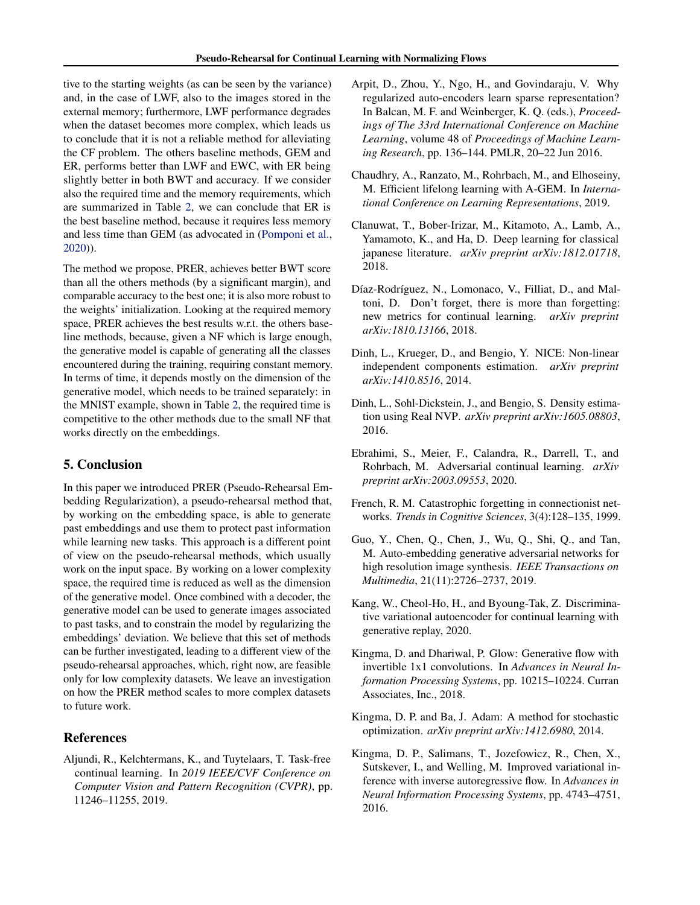<span id="page-7-0"></span>tive to the starting weights (as can be seen by the variance) and, in the case of LWF, also to the images stored in the external memory; furthermore, LWF performance degrades when the dataset becomes more complex, which leads us to conclude that it is not a reliable method for alleviating the CF problem. The others baseline methods, GEM and ER, performs better than LWF and EWC, with ER being slightly better in both BWT and accuracy. If we consider also the required time and the memory requirements, which are summarized in Table [2,](#page-6-0) we can conclude that ER is the best baseline method, because it requires less memory and less time than GEM (as advocated in [\(Pomponi et al.,](#page-8-0) [2020\)](#page-8-0)).

The method we propose, PRER, achieves better BWT score than all the others methods (by a significant margin), and comparable accuracy to the best one; it is also more robust to the weights' initialization. Looking at the required memory space, PRER achieves the best results w.r.t. the others baseline methods, because, given a NF which is large enough, the generative model is capable of generating all the classes encountered during the training, requiring constant memory. In terms of time, it depends mostly on the dimension of the generative model, which needs to be trained separately: in the MNIST example, shown in Table [2,](#page-6-0) the required time is competitive to the other methods due to the small NF that works directly on the embeddings.

## 5. Conclusion

In this paper we introduced PRER (Pseudo-Rehearsal Embedding Regularization), a pseudo-rehearsal method that, by working on the embedding space, is able to generate past embeddings and use them to protect past information while learning new tasks. This approach is a different point of view on the pseudo-rehearsal methods, which usually work on the input space. By working on a lower complexity space, the required time is reduced as well as the dimension of the generative model. Once combined with a decoder, the generative model can be used to generate images associated to past tasks, and to constrain the model by regularizing the embeddings' deviation. We believe that this set of methods can be further investigated, leading to a different view of the pseudo-rehearsal approaches, which, right now, are feasible only for low complexity datasets. We leave an investigation on how the PRER method scales to more complex datasets to future work.

## References

Aljundi, R., Kelchtermans, K., and Tuytelaars, T. Task-free continual learning. In *2019 IEEE/CVF Conference on Computer Vision and Pattern Recognition (CVPR)*, pp. 11246–11255, 2019.

- Arpit, D., Zhou, Y., Ngo, H., and Govindaraju, V. Why regularized auto-encoders learn sparse representation? In Balcan, M. F. and Weinberger, K. Q. (eds.), *Proceedings of The 33rd International Conference on Machine Learning*, volume 48 of *Proceedings of Machine Learning Research*, pp. 136–144. PMLR, 20–22 Jun 2016.
- Chaudhry, A., Ranzato, M., Rohrbach, M., and Elhoseiny, M. Efficient lifelong learning with A-GEM. In *International Conference on Learning Representations*, 2019.
- Clanuwat, T., Bober-Irizar, M., Kitamoto, A., Lamb, A., Yamamoto, K., and Ha, D. Deep learning for classical japanese literature. *arXiv preprint arXiv:1812.01718*, 2018.
- Díaz-Rodríguez, N., Lomonaco, V., Filliat, D., and Maltoni, D. Don't forget, there is more than forgetting: new metrics for continual learning. *arXiv preprint arXiv:1810.13166*, 2018.
- Dinh, L., Krueger, D., and Bengio, Y. NICE: Non-linear independent components estimation. *arXiv preprint arXiv:1410.8516*, 2014.
- Dinh, L., Sohl-Dickstein, J., and Bengio, S. Density estimation using Real NVP. *arXiv preprint arXiv:1605.08803*, 2016.
- Ebrahimi, S., Meier, F., Calandra, R., Darrell, T., and Rohrbach, M. Adversarial continual learning. *arXiv preprint arXiv:2003.09553*, 2020.
- French, R. M. Catastrophic forgetting in connectionist networks. *Trends in Cognitive Sciences*, 3(4):128–135, 1999.
- Guo, Y., Chen, Q., Chen, J., Wu, Q., Shi, Q., and Tan, M. Auto-embedding generative adversarial networks for high resolution image synthesis. *IEEE Transactions on Multimedia*, 21(11):2726–2737, 2019.
- Kang, W., Cheol-Ho, H., and Byoung-Tak, Z. Discriminative variational autoencoder for continual learning with generative replay, 2020.
- Kingma, D. and Dhariwal, P. Glow: Generative flow with invertible 1x1 convolutions. In *Advances in Neural Information Processing Systems*, pp. 10215–10224. Curran Associates, Inc., 2018.
- Kingma, D. P. and Ba, J. Adam: A method for stochastic optimization. *arXiv preprint arXiv:1412.6980*, 2014.
- Kingma, D. P., Salimans, T., Jozefowicz, R., Chen, X., Sutskever, I., and Welling, M. Improved variational inference with inverse autoregressive flow. In *Advances in Neural Information Processing Systems*, pp. 4743–4751, 2016.